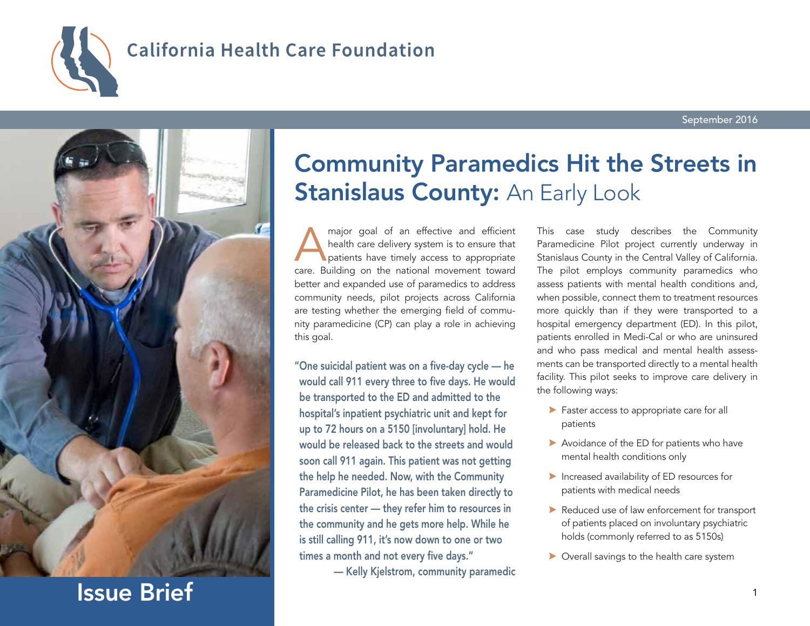

# **California Health Care Foundation**



Issue Brief

# Community Paramedics Hit the Streets in **Stanislaus County: An Early Look**

major goal of an effective and efficient<br>health care delivery system is to ensure that<br>patients have timely access to appropriate<br>care. Building on the pational movement toward health care delivery system is to ensure that patients have timely access to appropriate care. Building on the national movement toward better and expanded use of paramedics to address community needs, pilot projects across California are testing whether the emerging field of community paramedicine (CP) can play a role in achieving this goal.

"One suicidal patient was on a five-day cycle — he would call 911 every three to five days. He would be transported to the ED and admitted to the hospital's inpatient psychiatric unit and kept for up to 72 hours on a 5150 [involuntary] hold. He would be released back to the streets and would soon call 911 again. This patient was not getting the help he needed. Now, with the Community Paramedicine Pilot, he has been taken directly to the crisis center — they refer him to resources in the community and he gets more help. While he is still calling 911, it's now down to one or two times a month and not every five days."

— Kelly Kjelstrom, community paramedic

This case study describes the Community Paramedicine Pilot project currently underway in Stanislaus County in the Central Valley of California. The pilot employs community paramedics who assess patients with mental health conditions and, when possible, connect them to treatment resources more quickly than if they were transported to a hospital emergency department (ED). In this pilot, patients enrolled in Medi-Cal or who are uninsured and who pass medical and mental health assessments can be transported directly to a mental health facility. This pilot seeks to improve care delivery in the following ways:

- **Faster access to appropriate care for all** patients
- $\blacktriangleright$  Avoidance of the ED for patients who have mental health conditions only
- $\blacktriangleright$  Increased availability of ED resources for patients with medical needs
- A Reduced use of law enforcement for transport of patients placed on involuntary psychiatric holds (commonly referred to as 5150s)
- $\triangleright$  Overall savings to the health care system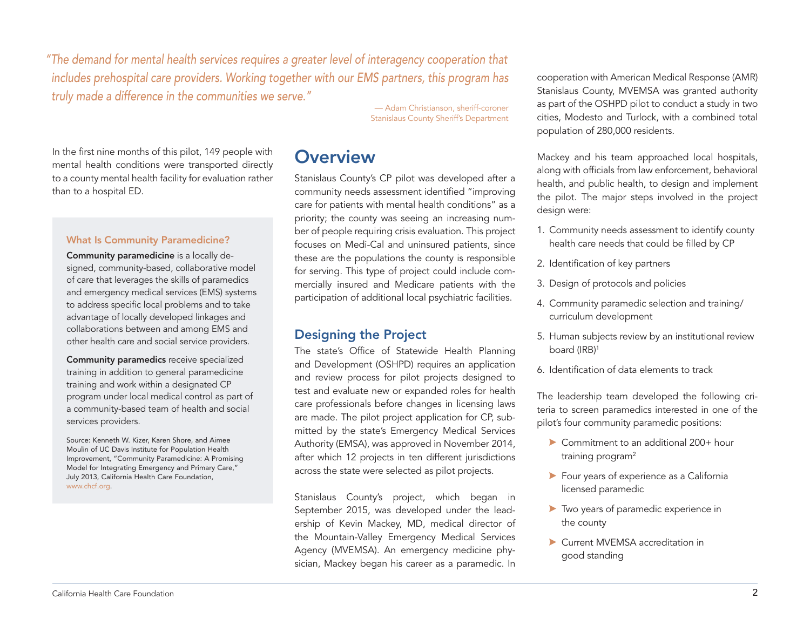*"The demand for mental health services requires a greater level of interagency cooperation that includes prehospital care providers. Working together with our EMS partners, this program has truly made a difference in the communities we serve."* 

> — Adam Christianson, sheriff-coroner Stanislaus County Sheriff's Department

In the first nine months of this pilot, 149 people with mental health conditions were transported directly to a county mental health facility for evaluation rather than to a hospital ED.

#### What Is Community Paramedicine?

Community paramedicine is a locally designed, community-based, collaborative model of care that leverages the skills of paramedics and emergency medical services (EMS) systems to address specific local problems and to take advantage of locally developed linkages and collaborations between and among EMS and other health care and social service providers.

Community paramedics receive specialized training in addition to general paramedicine training and work within a designated CP program under local medical control as part of a community-based team of health and social services providers.

Source: Kenneth W. Kizer, Karen Shore, and Aimee Moulin of UC Davis Institute for Population Health Improvement, "Community Paramedicine: A Promising Model for Integrating Emergency and Primary Care," July 2013, California Health Care Foundation, [www.chcf.org.](http://www.chcf.org/publications/2013/07/community-paramedicine)

## **Overview**

Stanislaus County's CP pilot was developed after a community needs assessment identified "improving care for patients with mental health conditions" as a priority; the county was seeing an increasing number of people requiring crisis evaluation. This project focuses on Medi-Cal and uninsured patients, since these are the populations the county is responsible for serving. This type of project could include commercially insured and Medicare patients with the participation of additional local psychiatric facilities.

### Designing the Project

The state's Office of Statewide Health Planning and Development (OSHPD) requires an application and review process for pilot projects designed to test and evaluate new or expanded roles for health care professionals before changes in licensing laws are made. The pilot project application for CP, submitted by the state's Emergency Medical Services Authority (EMSA), was approved in November 2014, after which 12 projects in ten different jurisdictions across the state were selected as pilot projects.

Stanislaus County's project, which began in September 2015, was developed under the leadership of Kevin Mackey, MD, medical director of the Mountain-Valley Emergency Medical Services Agency (MVEMSA). An emergency medicine physician, Mackey began his career as a paramedic. In cooperation with American Medical Response (AMR) Stanislaus County, MVEMSA was granted authority as part of the OSHPD pilot to conduct a study in two cities, Modesto and Turlock, with a combined total population of 280,000 residents.

Mackey and his team approached local hospitals, along with officials from law enforcement, behavioral health, and public health, to design and implement the pilot. The major steps involved in the project design were:

- 1. Community needs assessment to identify county health care needs that could be filled by CP
- 2. Identification of key partners
- 3. Design of protocols and policies
- 4. Community paramedic selection and training/ curriculum development
- 5. Human subjects review by an institutional review board (IRB)<sup>1</sup>
- 6. Identification of data elements to track

The leadership team developed the following criteria to screen paramedics interested in one of the pilot's four community paramedic positions:

- A Commitment to an additional 200+ hour training program $2$
- A Four years of experience as a California licensed paramedic
- A Two years of paramedic experience in the county
- ▶ Current MVEMSA accreditation in good standing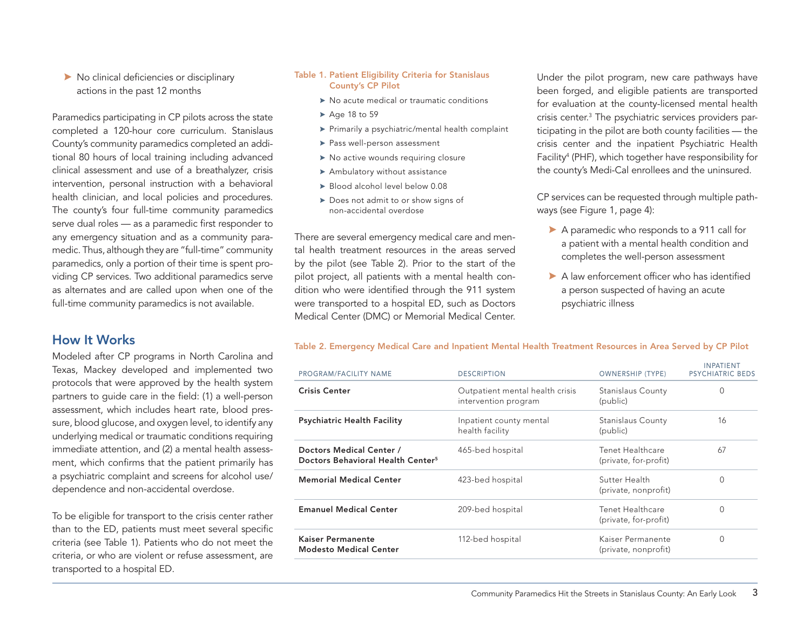#### A No clinical deficiencies or disciplinary actions in the past 12 months

Paramedics participating in CP pilots across the state completed a 120-hour core curriculum. Stanislaus County's community paramedics completed an additional 80 hours of local training including advanced clinical assessment and use of a breathalyzer, crisis intervention, personal instruction with a behavioral health clinician, and local policies and procedures. The county's four full-time community paramedics serve dual roles — as a paramedic first responder to any emergency situation and as a community paramedic. Thus, although they are "full-time" community paramedics, only a portion of their time is spent providing CP services. Two additional paramedics serve as alternates and are called upon when one of the full-time community paramedics is not available.

### How It Works

Modeled after CP programs in North Carolina and Texas, Mackey developed and implemented two protocols that were approved by the health system partners to guide care in the field: (1) a well-person assessment, which includes heart rate, blood pressure, blood glucose, and oxygen level, to identify any underlying medical or traumatic conditions requiring immediate attention, and (2) a mental health assessment, which confirms that the patient primarily has a psychiatric complaint and screens for alcohol use/ dependence and non-accidental overdose.

To be eligible for transport to the crisis center rather than to the ED, patients must meet several specific criteria (see Table 1). Patients who do not meet the criteria, or who are violent or refuse assessment, are transported to a hospital ED.

#### Table 1. Patient Eligibility Criteria for Stanislaus County's CP Pilot

- $\triangleright$  No acute medical or traumatic conditions
- $\blacktriangleright$  Age 18 to 59
- $\blacktriangleright$  Primarily a psychiatric/mental health complaint
- $\blacktriangleright$  Pass well-person assessment
- $\triangleright$  No active wounds requiring closure
- $\blacktriangleright$  Ambulatory without assistance
- $\blacktriangleright$  Blood alcohol level below 0.08
- $\triangleright$  Does not admit to or show signs of non-accidental overdose

There are several emergency medical care and mental health treatment resources in the areas served by the pilot (see Table 2). Prior to the start of the pilot project, all patients with a mental health condition who were identified through the 911 system were transported to a hospital ED, such as Doctors Medical Center (DMC) or Memorial Medical Center.

Under the pilot program, new care pathways have been forged, and eligible patients are transported for evaluation at the county-licensed mental health crisis center.3 The psychiatric services providers participating in the pilot are both county facilities — the crisis center and the inpatient Psychiatric Health Facility<sup>4</sup> (PHF), which together have responsibility for the county's Medi-Cal enrollees and the uninsured.

CP services can be requested through multiple pathways (see Figure 1, page 4):

- A paramedic who responds to a 911 call for a patient with a mental health condition and completes the well-person assessment
- $\blacktriangleright$  A law enforcement officer who has identified a person suspected of having an acute psychiatric illness

#### Table 2. Emergency Medical Care and Inpatient Mental Health Treatment Resources in Area Served by CP Pilot

| PROGRAM/FACILITY NAME                                                     | <b>DESCRIPTION</b>                                      | <b>OWNERSHIP (TYPE)</b>                   | <b>INPATIENT</b><br><b>PSYCHIATRIC BEDS</b> |
|---------------------------------------------------------------------------|---------------------------------------------------------|-------------------------------------------|---------------------------------------------|
| <b>Crisis Center</b>                                                      | Outpatient mental health crisis<br>intervention program | Stanislaus County<br>(public)             | O                                           |
| <b>Psychiatric Health Facility</b>                                        | Inpatient county mental<br>health facility              | Stanislaus County<br>(public)             | 16                                          |
| Doctors Medical Center /<br>Doctors Behavioral Health Center <sup>5</sup> | 465-bed hospital                                        | Tenet Healthcare<br>(private, for-profit) | 67                                          |
| <b>Memorial Medical Center</b>                                            | 423-bed hospital                                        | Sutter Health<br>(private, nonprofit)     | O                                           |
| <b>Emanuel Medical Center</b>                                             | 209-bed hospital                                        | Tenet Healthcare<br>(private, for-profit) | 0                                           |
| <b>Kaiser Permanente</b><br><b>Modesto Medical Center</b>                 | 112-bed hospital                                        | Kaiser Permanente<br>(private, nonprofit) | 0                                           |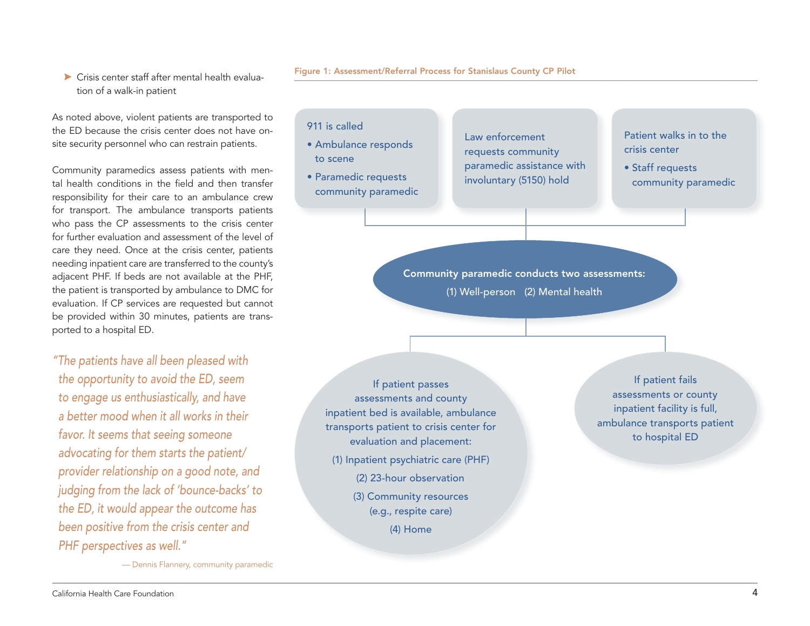#### $\blacktriangleright$  Crisis center staff after mental health evaluation of a walk-in patient

As noted above, violent patients are transported to the ED because the crisis center does not have onsite security personnel who can restrain patients.

Community paramedics assess patients with mental health conditions in the field and then transfer responsibility for their care to an ambulance crew for transport. The ambulance transports patients who pass the CP assessments to the crisis center for further evaluation and assessment of the level of care they need. Once at the crisis center, patients needing inpatient care are transferred to the county's adjacent PHF. If beds are not available at the PHF, the patient is transported by ambulance to DMC for evaluation. If CP services are requested but cannot be provided within 30 minutes, patients are transported to a hospital ED.

*"The patients have all been pleased with the opportunity to avoid the ED, seem to engage us enthusiastically, and have a better mood when it all works in their favor. It seems that seeing someone advocating for them starts the patient/ provider relationship on a good note, and judging from the lack of 'bounce-backs' to the ED, it would appear the outcome has been positive from the crisis center and PHF perspectives as well."* 

— Dennis Flannery, community paramedic

Figure 1: Assessment/Referral Process for Stanislaus County CP Pilot

#### 911 is called

- Ambulance responds to scene
- Paramedic requests community paramedic

Law enforcement requests community paramedic assistance with involuntary (5150) hold

Patient walks in to the crisis center

• Staff requests community paramedic

Community paramedic conducts two assessments: (1) Well-person (2) Mental health

If patient passes assessments and county inpatient bed is available, ambulance transports patient to crisis center for evaluation and placement: (1) Inpatient psychiatric care (PHF) (2) 23-hour observation (3) Community resources (e.g., respite care) (4) Home

If patient fails assessments or county inpatient facility is full, ambulance transports patient to hospital ED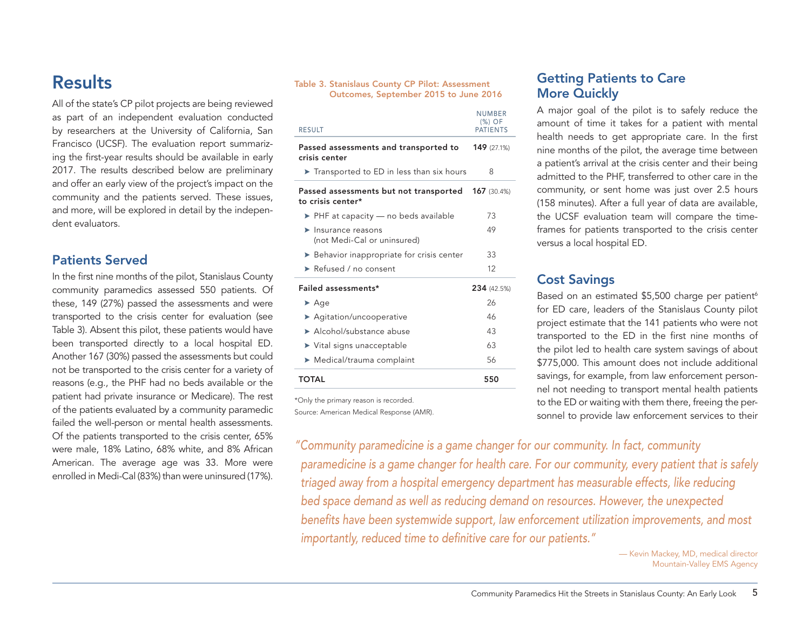## Results

All of the state's CP pilot projects are being reviewed as part of an independent evaluation conducted by researchers at the University of California, San Francisco (UCSF). The evaluation report summarizing the first-year results should be available in early 2017. The results described below are preliminary and offer an early view of the project's impact on the community and the patients served. These issues, and more, will be explored in detail by the independent evaluators.

### Patients Served

In the first nine months of the pilot, Stanislaus County community paramedics assessed 550 patients. Of these, 149 (27%) passed the assessments and were transported to the crisis center for evaluation (see Table 3). Absent this pilot, these patients would have been transported directly to a local hospital ED. Another 167 (30%) passed the assessments but could not be transported to the crisis center for a variety of reasons (e.g., the PHF had no beds available or the patient had private insurance or Medicare). The rest of the patients evaluated by a community paramedic failed the well-person or mental health assessments. Of the patients transported to the crisis center, 65% were male, 18% Latino, 68% white, and 8% African American. The average age was 33. More were enrolled in Medi-Cal (83%) than were uninsured (17%).

#### Table 3. Stanislaus County CP Pilot: Assessment Outcomes, September 2015 to June 2016

| <b>RESULT</b>                                                          | <b>NUMBER</b><br>$(%)$ OF<br><b>PATIENTS</b> |
|------------------------------------------------------------------------|----------------------------------------------|
| Passed assessments and transported to<br>crisis center                 | <b>149</b> (27.1%)                           |
| Transported to ED in less than six hours                               | 8                                            |
| Passed assessments but not transported<br>to crisis center*            | <b>167</b> (30.4%)                           |
| $\triangleright$ PHF at capacity — no beds available                   | 73                                           |
| $\blacktriangleright$ Insurance reasons<br>(not Medi-Cal or uninsured) | 49                                           |
| Behavior inappropriate for crisis center                               | 33                                           |
| Refused / no consent                                                   | 12                                           |
| Failed assessments*                                                    | 234 (42.5%)                                  |
| $\blacktriangleright$ Age                                              | 26                                           |
| ▶ Agitation/uncooperative                                              | 46                                           |
| Alcohol/substance abuse                                                | 43                                           |
| $\blacktriangleright$ Vital signs unacceptable                         | 63                                           |
| $\blacktriangleright$ Medical/trauma complaint                         | 56                                           |
| <b>TOTAL</b>                                                           | 550                                          |

\*Only the primary reason is recorded. Source: American Medical Response (AMR).

## Getting Patients to Care More Quickly

A major goal of the pilot is to safely reduce the amount of time it takes for a patient with mental health needs to get appropriate care. In the first nine months of the pilot, the average time between a patient's arrival at the crisis center and their being admitted to the PHF, transferred to other care in the community, or sent home was just over 2.5 hours (158 minutes). After a full year of data are available, the UCSF evaluation team will compare the timeframes for patients transported to the crisis center versus a local hospital ED.

## Cost Savings

Based on an estimated \$5,500 charge per patient<sup>6</sup> for ED care, leaders of the Stanislaus County pilot project estimate that the 141 patients who were not transported to the ED in the first nine months of the pilot led to health care system savings of about \$775,000. This amount does not include additional savings, for example, from law enforcement personnel not needing to transport mental health patients to the ED or waiting with them there, freeing the personnel to provide law enforcement services to their

*"Community paramedicine is a game changer for our community. In fact, community paramedicine is a game changer for health care. For our community, every patient that is safely triaged away from a hospital emergency department has measurable effects, like reducing bed space demand as well as reducing demand on resources. However, the unexpected benefits have been systemwide support, law enforcement utilization improvements, and most importantly, reduced time to definitive care for our patients."* 

> — Kevin Mackey, MD, medical director Mountain-Valley EMS Agency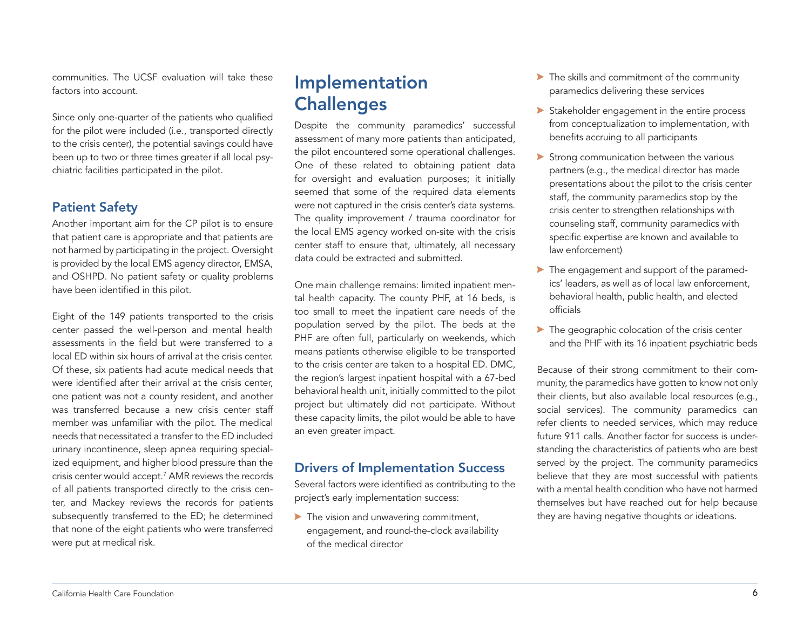communities. The UCSF evaluation will take these factors into account.

Since only one-quarter of the patients who qualified for the pilot were included (i.e., transported directly to the crisis center), the potential savings could have been up to two or three times greater if all local psychiatric facilities participated in the pilot.

## Patient Safety

Another important aim for the CP pilot is to ensure that patient care is appropriate and that patients are not harmed by participating in the project. Oversight is provided by the local EMS agency director, EMSA, and OSHPD. No patient safety or quality problems have been identified in this pilot.

Eight of the 149 patients transported to the crisis center passed the well-person and mental health assessments in the field but were transferred to a local ED within six hours of arrival at the crisis center. Of these, six patients had acute medical needs that were identified after their arrival at the crisis center, one patient was not a county resident, and another was transferred because a new crisis center staff member was unfamiliar with the pilot. The medical needs that necessitated a transfer to the ED included urinary incontinence, sleep apnea requiring specialized equipment, and higher blood pressure than the crisis center would accept.7 AMR reviews the records of all patients transported directly to the crisis center, and Mackey reviews the records for patients subsequently transferred to the ED; he determined that none of the eight patients who were transferred were put at medical risk.

## Implementation **Challenges**

Despite the community paramedics' successful assessment of many more patients than anticipated, the pilot encountered some operational challenges. One of these related to obtaining patient data for oversight and evaluation purposes; it initially seemed that some of the required data elements were not captured in the crisis center's data systems. The quality improvement / trauma coordinator for the local EMS agency worked on-site with the crisis center staff to ensure that, ultimately, all necessary data could be extracted and submitted.

One main challenge remains: limited inpatient mental health capacity. The county PHF, at 16 beds, is too small to meet the inpatient care needs of the population served by the pilot. The beds at the PHF are often full, particularly on weekends, which means patients otherwise eligible to be transported to the crisis center are taken to a hospital ED. DMC, the region's largest inpatient hospital with a 67-bed behavioral health unit, initially committed to the pilot project but ultimately did not participate. Without these capacity limits, the pilot would be able to have an even greater impact.

### Drivers of Implementation Success

Several factors were identified as contributing to the project's early implementation success:

 $\blacktriangleright$  The vision and unwavering commitment, engagement, and round-the-clock availability of the medical director

- $\blacktriangleright$  The skills and commitment of the community paramedics delivering these services
- $\triangleright$  Stakeholder engagement in the entire process from conceptualization to implementation, with benefits accruing to all participants
- $\blacktriangleright$  Strong communication between the various partners (e.g., the medical director has made presentations about the pilot to the crisis center staff, the community paramedics stop by the crisis center to strengthen relationships with counseling staff, community paramedics with specific expertise are known and available to law enforcement)
- A The engagement and support of the paramedics' leaders, as well as of local law enforcement, behavioral health, public health, and elected officials
- $\blacktriangleright$  The geographic colocation of the crisis center and the PHF with its 16 inpatient psychiatric beds

Because of their strong commitment to their community, the paramedics have gotten to know not only their clients, but also available local resources (e.g., social services). The community paramedics can refer clients to needed services, which may reduce future 911 calls. Another factor for success is understanding the characteristics of patients who are best served by the project. The community paramedics believe that they are most successful with patients with a mental health condition who have not harmed themselves but have reached out for help because they are having negative thoughts or ideations.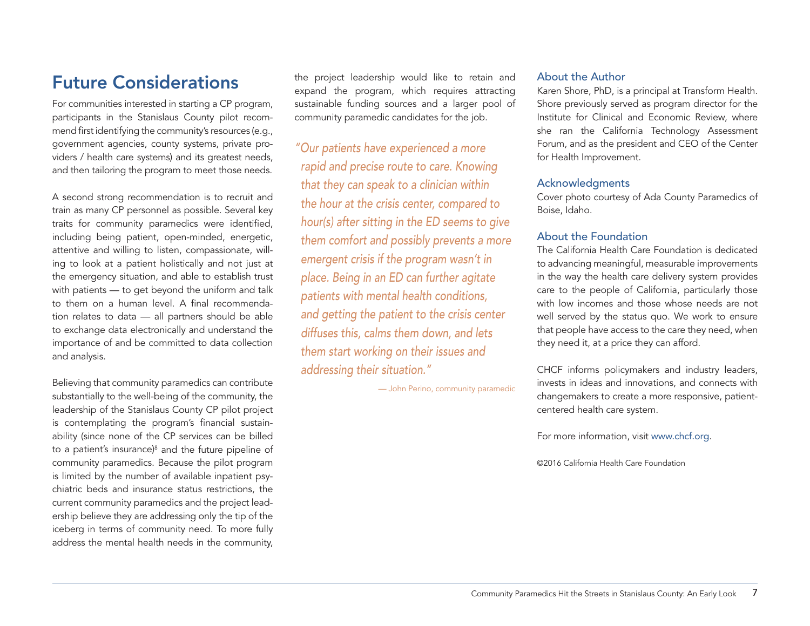## Future Considerations

For communities interested in starting a CP program, participants in the Stanislaus County pilot recommend first identifying the community's resources (e.g., government agencies, county systems, private providers / health care systems) and its greatest needs, and then tailoring the program to meet those needs.

A second strong recommendation is to recruit and train as many CP personnel as possible. Several key traits for community paramedics were identified, including being patient, open-minded, energetic, attentive and willing to listen, compassionate, willing to look at a patient holistically and not just at the emergency situation, and able to establish trust with patients — to get beyond the uniform and talk to them on a human level. A final recommendation relates to data — all partners should be able to exchange data electronically and understand the importance of and be committed to data collection and analysis.

Believing that community paramedics can contribute substantially to the well-being of the community, the leadership of the Stanislaus County CP pilot project is contemplating the program's financial sustainability (since none of the CP services can be billed to a patient's insurance)<sup>8</sup> and the future pipeline of community paramedics. Because the pilot program is limited by the number of available inpatient psychiatric beds and insurance status restrictions, the current community paramedics and the project leadership believe they are addressing only the tip of the iceberg in terms of community need. To more fully address the mental health needs in the community,

the project leadership would like to retain and expand the program, which requires attracting sustainable funding sources and a larger pool of community paramedic candidates for the job.

*"Our patients have experienced a more rapid and precise route to care. Knowing that they can speak to a clinician within the hour at the crisis center, compared to hour(s) after sitting in the ED seems to give them comfort and possibly prevents a more emergent crisis if the program wasn't in place. Being in an ED can further agitate patients with mental health conditions, and getting the patient to the crisis center diffuses this, calms them down, and lets them start working on their issues and addressing their situation."* 

— John Perino, community paramedic

#### About the Author

Karen Shore, PhD, is a principal at Transform Health. Shore previously served as program director for the Institute for Clinical and Economic Review, where she ran the California Technology Assessment Forum, and as the president and CEO of the Center for Health Improvement.

#### Acknowledgments

Cover photo courtesy of Ada County Paramedics of Boise, Idaho.

#### About the Foundation

The California Health Care Foundation is dedicated to advancing meaningful, measurable improvements in the way the health care delivery system provides care to the people of California, particularly those with low incomes and those whose needs are not well served by the status quo. We work to ensure that people have access to the care they need, when they need it, at a price they can afford.

CHCF informs policymakers and industry leaders, invests in ideas and innovations, and connects with changemakers to create a more responsive, patientcentered health care system.

For more information, visit [www.chcf.org](http://www.chcf.org).

©2016 California Health Care Foundation